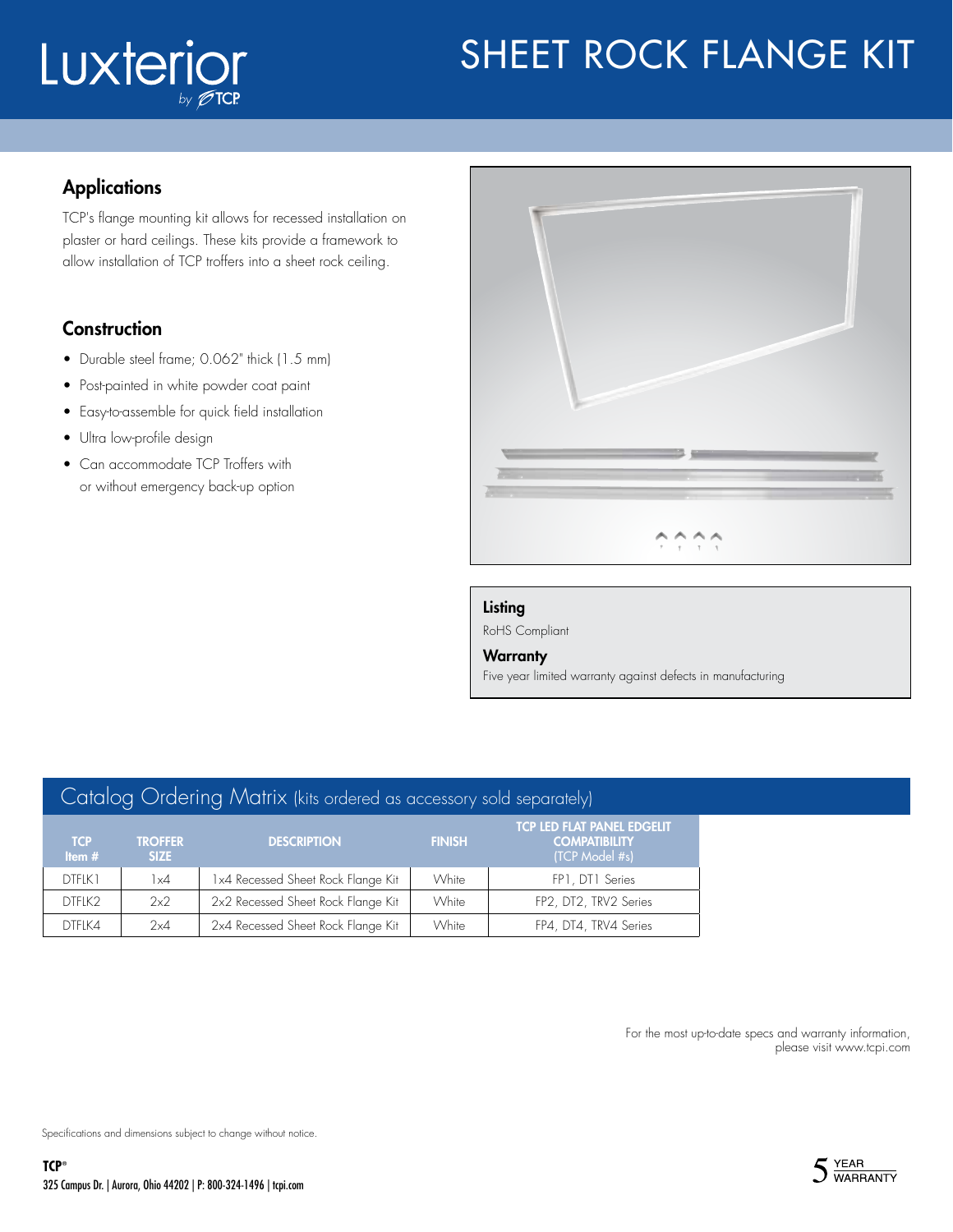# Luxterior

# SHEET ROCK FLANGE KIT

### **Applications**

TCP's flange mounting kit allows for recessed installation on plaster or hard ceilings. These kits provide a framework to allow installation of TCP troffers into a sheet rock ceiling.

### **Construction**

- Durable steel frame; 0.062" thick (1.5 mm)
- Post-painted in white powder coat paint
- Easy-to-assemble for quick field installation
- Ultra low-profile design
- Can accommodate TCP Troffers with or without emergency back-up option



#### Listing

RoHS Compliant

#### **Warranty**

Five year limited warranty against defects in manufacturing

| Catalog Ordering Matrix (kits ordered as accessory sold separately) |                        |                                    |               |                                                                             |
|---------------------------------------------------------------------|------------------------|------------------------------------|---------------|-----------------------------------------------------------------------------|
| <b>TCP</b><br>Item $#$                                              | <b>TROFFER</b><br>SIZE | <b>DESCRIPTION</b>                 | <b>FINISH</b> | <b>TCP LED FLAT PANEL EDGELIT</b><br><b>COMPATIBILITY</b><br>(TCP Model #s) |
| DTFLK1                                                              | $1\times4$             | 1x4 Recessed Sheet Rock Flange Kit | White         | FP1, DT1 Series                                                             |
| DTFLK2                                                              | 2x2                    | 2x2 Recessed Sheet Rock Flange Kit | White         | FP2, DT2, TRV2 Series                                                       |
| DTFLK4                                                              | 2x4                    | 2x4 Recessed Sheet Rock Flange Kit | White         | FP4, DT4, TRV4 Series                                                       |

For the most up-to-date specs and warranty information, please visit www.tcpi.com

Specifications and dimensions subject to change without notice.